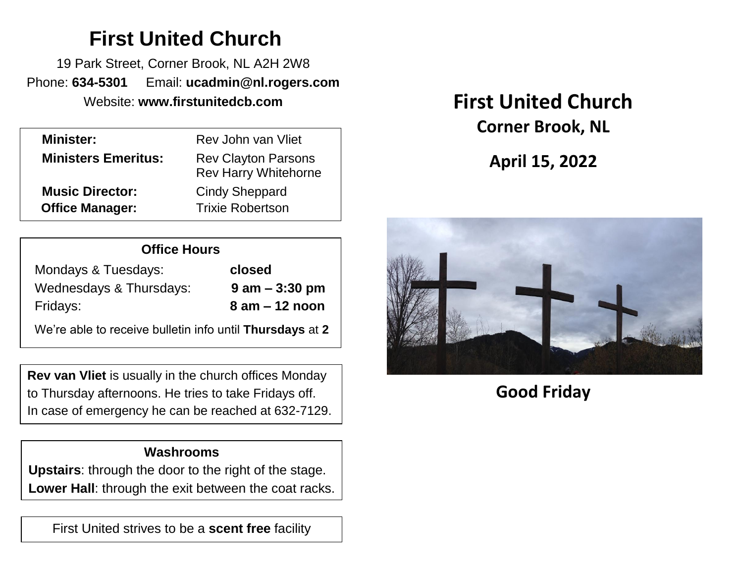# **First United Church**

19 Park Street, Corner Brook, NL A2H 2W8 Phone: **634-5301** Email: **ucadmin@nl.rogers.com**

| <b>Minister:</b>           | Rev John van Vliet                                        |  |
|----------------------------|-----------------------------------------------------------|--|
| <b>Ministers Emeritus:</b> | <b>Rev Clayton Parsons</b><br><b>Rev Harry Whitehorne</b> |  |
| <b>Music Director:</b>     | <b>Cindy Sheppard</b>                                     |  |
| <b>Office Manager:</b>     | <b>Trixie Robertson</b>                                   |  |
|                            |                                                           |  |

| <b>Office Hours</b>     |                    |  |  |
|-------------------------|--------------------|--|--|
| Mondays & Tuesdays:     | closed             |  |  |
| Wednesdays & Thursdays: | $9$ am $-$ 3:30 pm |  |  |
| Fridays:                | $8$ am $-12$ noon  |  |  |

We're able to receive bulletin info until **Thursdays** at **2**

**Rev van Vliet** is usually in the church offices Monday to Thursday afternoons. He tries to take Fridays off. In case of emergency he can be reached at 632-7129.

### **Washrooms**

**Upstairs**: through the door to the right of the stage. **Lower Hall**: through the exit between the coat racks.

First United strives to be a **scent free** facility

# Website: **www.firstunitedcb.com First United Church Corner Brook, NL**

**April 15, 2022**



## **Good Friday**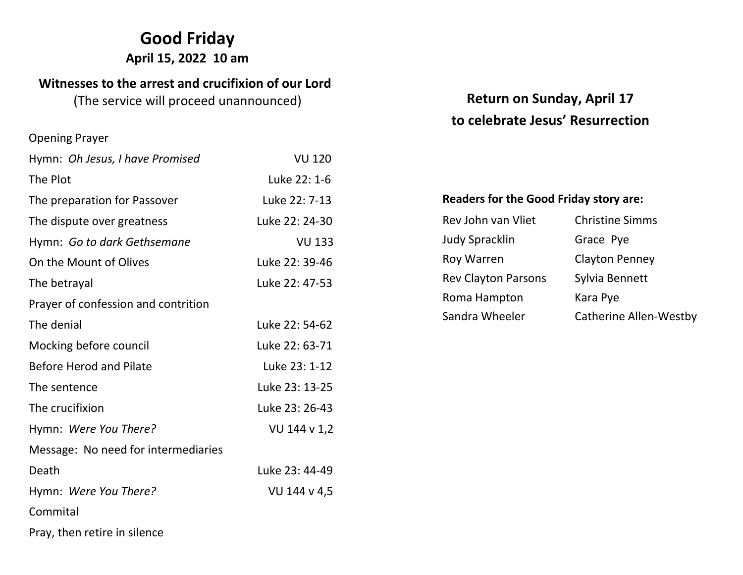## **Good Friday**

#### **April 15, 2022 10 am**

#### **Witnesses to the arrest and crucifixion of our Lord**

(The service will proceed unannounced)

#### Opening Prayer

| Hymn: Oh Jesus, I have Promised     | <b>VU 120</b>  |
|-------------------------------------|----------------|
| The Plot                            | Luke 22: 1-6   |
| The preparation for Passover        | Luke 22: 7-13  |
| The dispute over greatness          | Luke 22: 24-30 |
| Hymn: Go to dark Gethsemane         | <b>VU 133</b>  |
| On the Mount of Olives              | Luke 22: 39-46 |
| The betrayal                        | Luke 22: 47-53 |
| Prayer of confession and contrition |                |
| The denial                          | Luke 22: 54-62 |
| Mocking before council              | Luke 22: 63-71 |
| <b>Before Herod and Pilate</b>      | Luke 23: 1-12  |
| The sentence                        | Luke 23: 13-25 |
| The crucifixion                     | Luke 23: 26-43 |
| Hymn: Were You There?               | VU 144 v 1,2   |
| Message: No need for intermediaries |                |
| Death                               | Luke 23: 44-49 |
| Hymn: Were You There?               | VU 144 v 4,5   |
| Commital                            |                |
| Pray, then retire in silence        |                |

## **Return on Sunday, April 17 to celebrate Jesus' Resurrection**

#### **Readers for the Good Friday story are:**

Rev John van Vliet Christine Simms Judy Spracklin Grace Pye Roy Warren Clayton Penney Rev Clayton Parsons Sylvia Bennett Roma Hampton Kara Pye Sandra Wheeler Catherine Allen-Westby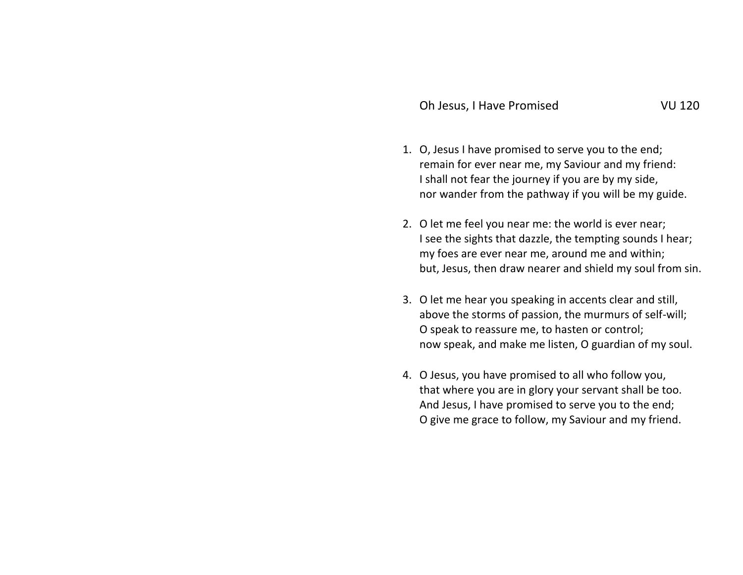- 
- 1. O, Jesus I have promised to serve you to the end; remain for ever near me, my Saviour and my friend: I shall not fear the journey if you are by my side, nor wander from the pathway if you will be my guide.
- 2. O let me feel you near me: the world is ever near; I see the sights that dazzle, the tempting sounds I hear; my foes are ever near me, around me and within; but, Jesus, then draw nearer and shield my soul from sin.
- 3. O let me hear you speaking in accents clear and still, above the storms of passion, the murmurs of self-will; O speak to reassure me, to hasten or control; now speak, and make me listen, O guardian of my soul.
- 4. O Jesus, you have promised to all who follow you, that where you are in glory your servant shall be too. And Jesus, I have promised to serve you to the end; O give me grace to follow, my Saviour and my friend.